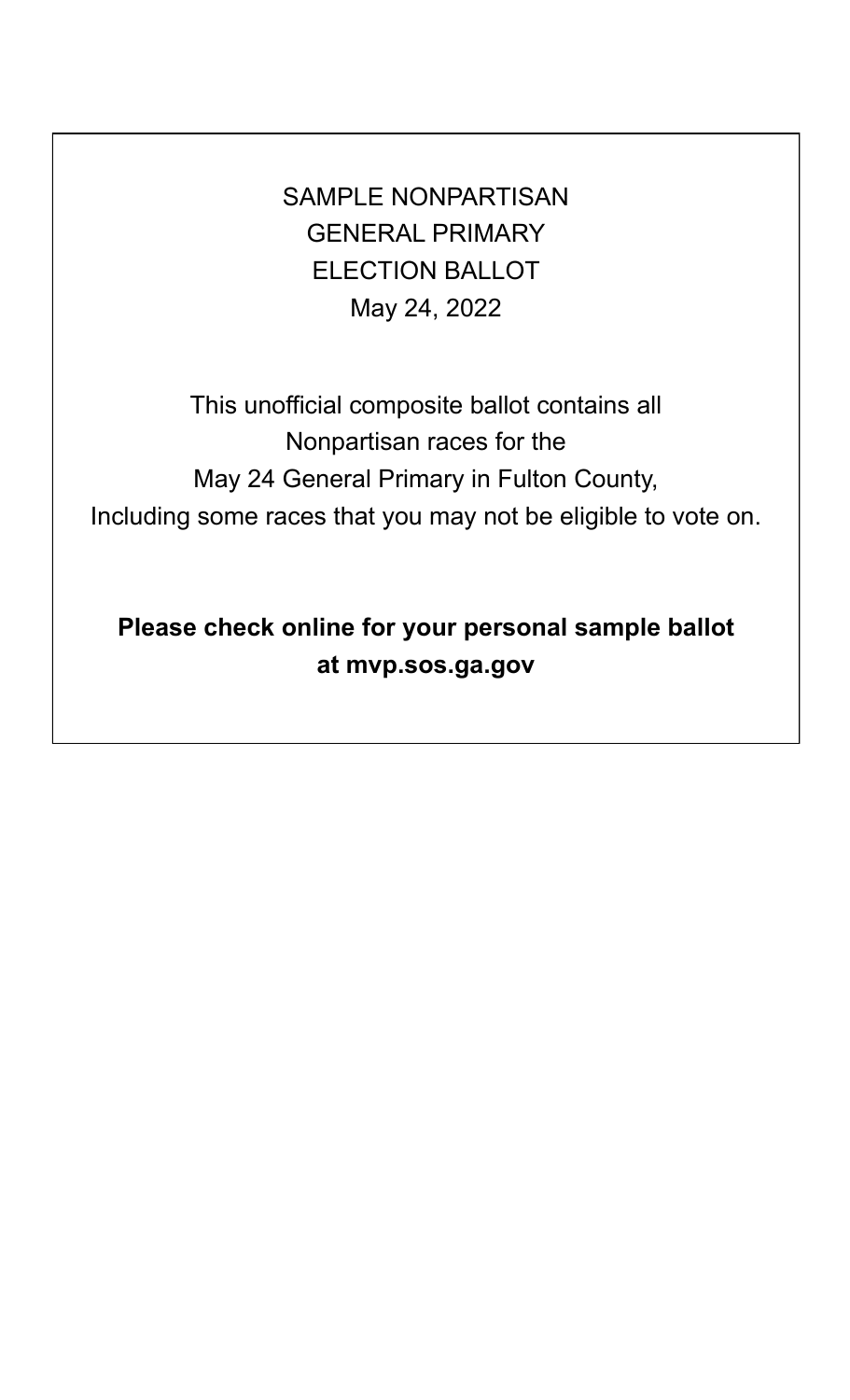SAMPLE NONPARTISAN GENERAL PRIMARY ELECTION BALLOT May 24, 2022

This unofficial composite ballot contains all Nonpartisan races for the May 24 General Primary in Fulton County, Including some races that you may not be eligible to vote on.

**Please check online for your personal sample ballot at mvp.sos.ga.gov**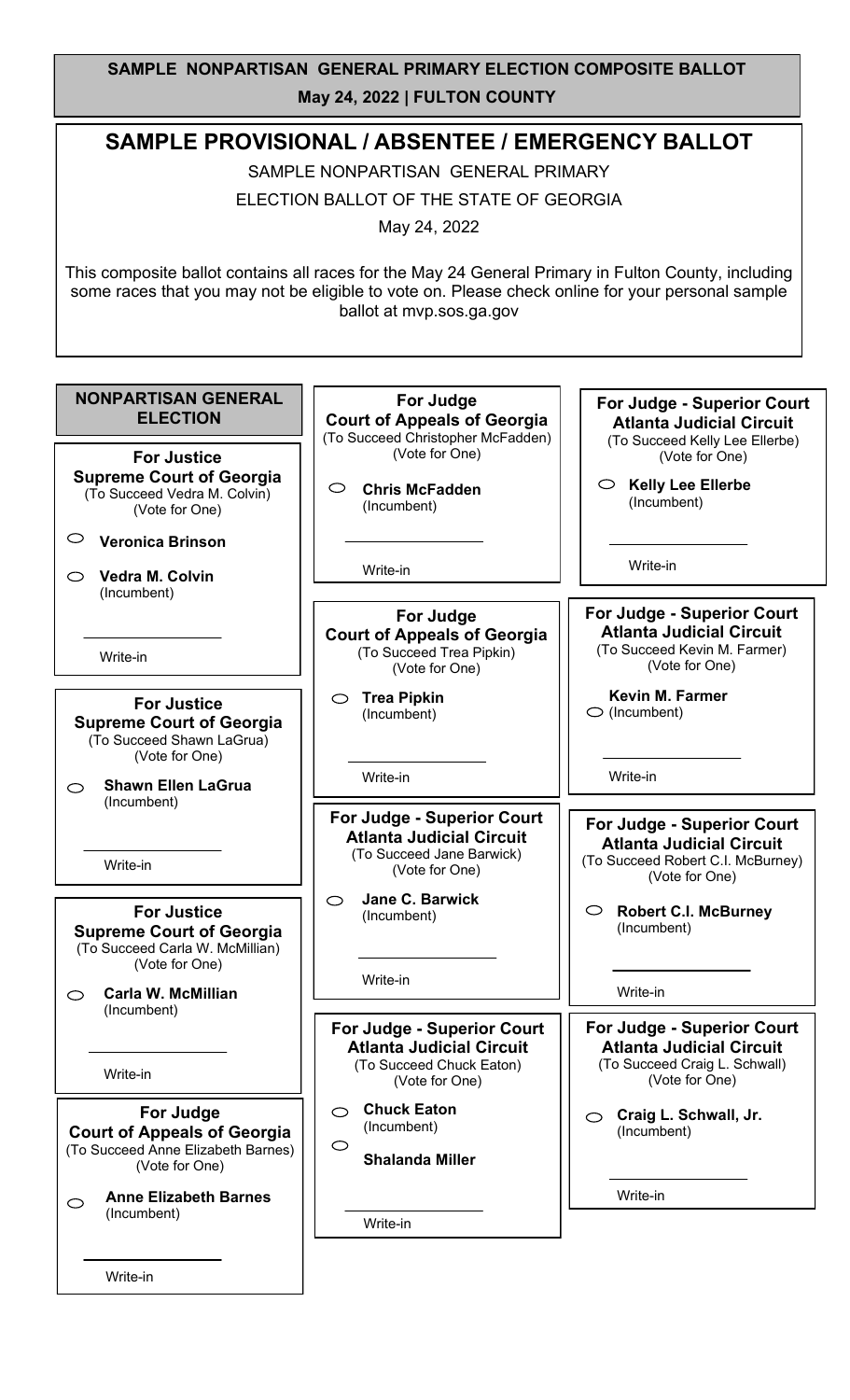## **SAMPLE NONPARTISAN GENERAL PRIMARY ELECTION COMPOSITE BALLOT May 24, 2022 | FULTON COUNTY**

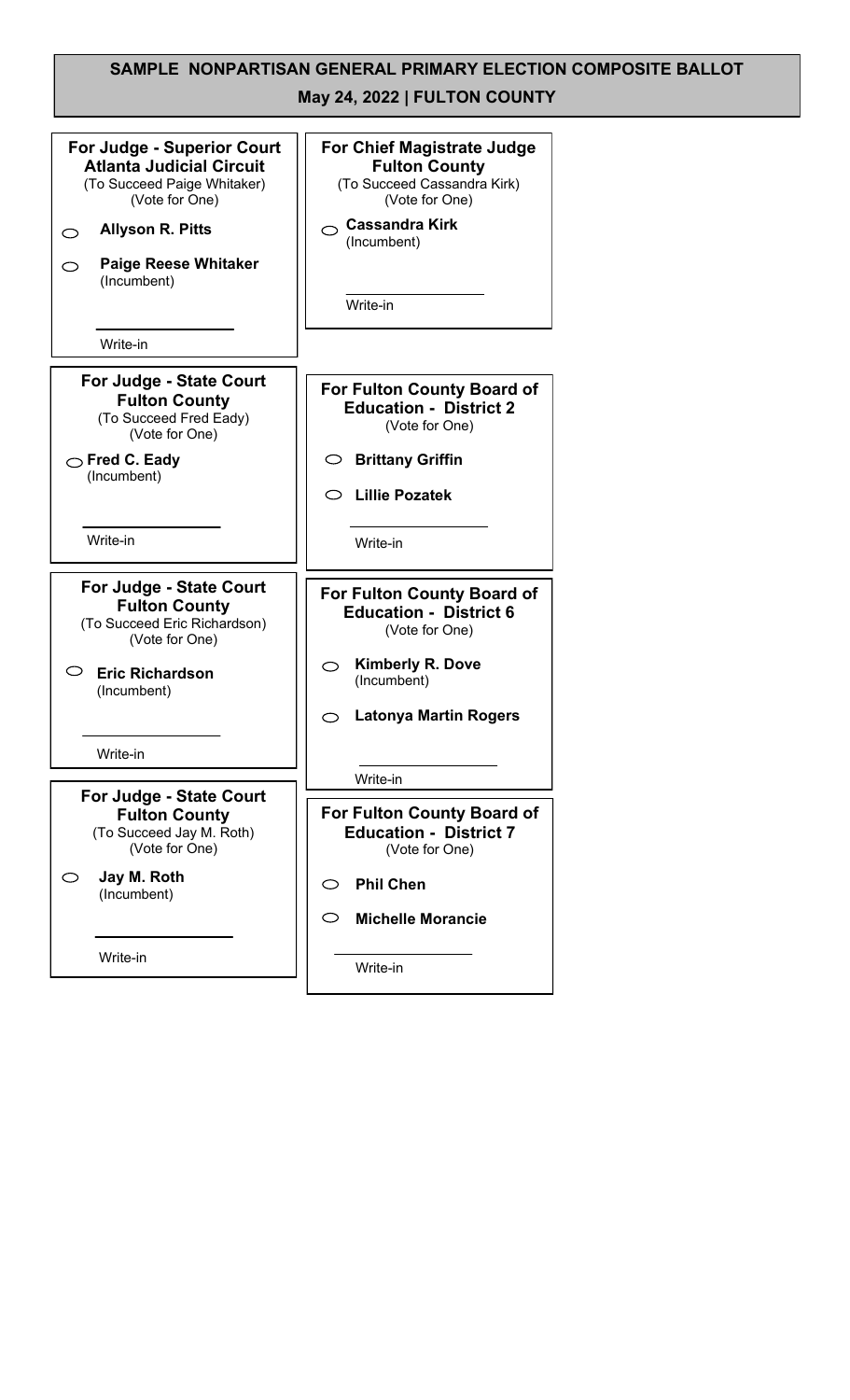#### **SAMPLE NONPARTISAN GENERAL PRIMARY ELECTION COMPOSITE BALLOT May 24, 2022 | FULTON COUNTY For Judge - Superior Court For Chief Magistrate Judge Atlanta Judicial Circuit Fulton County** (To Succeed Cassandra Kirk) (To Succeed Paige Whitaker) (Vote for One) (Vote for One) **Cassandra Kirk Allyson R. Pitts**  $\circ$ (Incumbent) **Paige Reese Whitaker**  $\circ$ (Incumbent) Write-in Write-in**For Judge - State Court For Fulton County Board of Fulton County Education - District 2** (To Succeed Fred Eady) (Vote for One) (Vote for One) **Fred C. Eady Brittany Griffin** (Incumbent) **Lillie Pozatek** Write-in Write-in **For Judge - State Court For Fulton County Board of Fulton County Education - District 6** (To Succeed Eric Richardson) (Vote for One) (Vote for One) **Kimberly R. Dove Eric Richardson** (Incumbent) (Incumbent) **Latonya Martin Rogers** Write-in Write-in **For Judge - State Court For Fulton County Board of Fulton County** (To Succeed Jay M. Roth) **Education - District 7** (Vote for One) (Vote for One) **Jay M. Roth**  $\circ$ **Phil Chen** (Incumbent)  $\circ$ **Michelle Morancie** Write-in Write-in